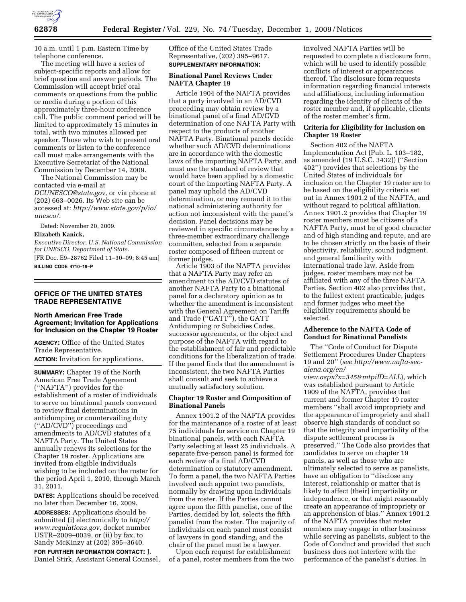

10 a.m. until 1 p.m. Eastern Time by telephone conference.

The meeting will have a series of subject-specific reports and allow for brief question and answer periods. The Commission will accept brief oral comments or questions from the public or media during a portion of this approximately three-hour conference call. The public comment period will be limited to approximately 15 minutes in total, with two minutes allowed per speaker. Those who wish to present oral comments or listen to the conference call must make arrangements with the Executive Secretariat of the National Commission by December 14, 2009.

The National Commission may be contacted via e-mail at *DCUNESCO@state.gov,* or via phone at (202) 663–0026. Its Web site can be accessed at: *http://www.state.gov/p/io/ unesco/.* 

Dated: November 20, 2009.

### **Elizabeth Kanick,**

*Executive Director, U.S. National Commission for UNESCO, Department of State.*  [FR Doc. E9–28762 Filed 11–30–09; 8:45 am] **BILLING CODE 4710–19–P** 

## **OFFICE OF THE UNITED STATES TRADE REPRESENTATIVE**

## **North American Free Trade Agreement; Invitation for Applications for Inclusion on the Chapter 19 Roster**

**AGENCY:** Office of the United States Trade Representative.

**ACTION:** Invitation for applications.

**SUMMARY:** Chapter 19 of the North American Free Trade Agreement (''NAFTA'') provides for the establishment of a roster of individuals to serve on binational panels convened to review final determinations in antidumping or countervailing duty (''AD/CVD'') proceedings and amendments to AD/CVD statutes of a NAFTA Party. The United States annually renews its selections for the Chapter 19 roster. Applications are invited from eligible individuals wishing to be included on the roster for the period April 1, 2010, through March 31, 2011.

**DATES:** Applications should be received no later than December 16, 2009.

**ADDRESSES:** Applications should be submitted (i) electronically to *http:// www.regulations.gov,* docket number USTR–2009–0039, or (ii) by fax, to Sandy McKinzy at (202) 395–3640.

**FOR FURTHER INFORMATION CONTACT:** J. Daniel Stirk, Assistant General Counsel, Office of the United States Trade Representative, (202) 395–9617. **SUPPLEMENTARY INFORMATION:** 

## **Binational Panel Reviews Under NAFTA Chapter 19**

Article 1904 of the NAFTA provides that a party involved in an AD/CVD proceeding may obtain review by a binational panel of a final AD/CVD determination of one NAFTA Party with respect to the products of another NAFTA Party. Binational panels decide whether such AD/CVD determinations are in accordance with the domestic laws of the importing NAFTA Party, and must use the standard of review that would have been applied by a domestic court of the importing NAFTA Party. A panel may uphold the AD/CVD determination, or may remand it to the national administering authority for action not inconsistent with the panel's decision. Panel decisions may be reviewed in specific circumstances by a three-member extraordinary challenge committee, selected from a separate roster composed of fifteen current or former judges.

Article 1903 of the NAFTA provides that a NAFTA Party may refer an amendment to the AD/CVD statutes of another NAFTA Party to a binational panel for a declaratory opinion as to whether the amendment is inconsistent with the General Agreement on Tariffs and Trade (''GATT''), the GATT Antidumping or Subsidies Codes, successor agreements, or the object and purpose of the NAFTA with regard to the establishment of fair and predictable conditions for the liberalization of trade. If the panel finds that the amendment is inconsistent, the two NAFTA Parties shall consult and seek to achieve a mutually satisfactory solution.

## **Chapter 19 Roster and Composition of Binational Panels**

Annex 1901.2 of the NAFTA provides for the maintenance of a roster of at least 75 individuals for service on Chapter 19 binational panels, with each NAFTA Party selecting at least 25 individuals. A separate five-person panel is formed for each review of a final AD/CVD determination or statutory amendment. To form a panel, the two NAFTA Parties involved each appoint two panelists, normally by drawing upon individuals from the roster. If the Parties cannot agree upon the fifth panelist, one of the Parties, decided by lot, selects the fifth panelist from the roster. The majority of individuals on each panel must consist of lawyers in good standing, and the chair of the panel must be a lawyer.

Upon each request for establishment of a panel, roster members from the two involved NAFTA Parties will be requested to complete a disclosure form, which will be used to identify possible conflicts of interest or appearances thereof. The disclosure form requests information regarding financial interests and affiliations, including information regarding the identity of clients of the roster member and, if applicable, clients of the roster member's firm.

### **Criteria for Eligibility for Inclusion on Chapter 19 Roster**

Section 402 of the NAFTA Implementation Act (Pub. L. 103–182, as amended (19 U.S.C. 3432)) (''Section 402'') provides that selections by the United States of individuals for inclusion on the Chapter 19 roster are to be based on the eligibility criteria set out in Annex 1901.2 of the NAFTA, and without regard to political affiliation. Annex 1901.2 provides that Chapter 19 roster members must be citizens of a NAFTA Party, must be of good character and of high standing and repute, and are to be chosen strictly on the basis of their objectivity, reliability, sound judgment, and general familiarity with international trade law. Aside from judges, roster members may not be affiliated with any of the three NAFTA Parties. Section 402 also provides that, to the fullest extent practicable, judges and former judges who meet the eligibility requirements should be selected.

# **Adherence to the NAFTA Code of Conduct for Binational Panelists**

The ''Code of Conduct for Dispute Settlement Procedures Under Chapters 19 and 20'' (*see http://www.nafta-secalena.org/en/* 

*view.aspx?x=345&mtpiID=ALL*), which was established pursuant to Article 1909 of the NAFTA, provides that current and former Chapter 19 roster members ''shall avoid impropriety and the appearance of impropriety and shall observe high standards of conduct so that the integrity and impartiality of the dispute settlement process is preserved.'' The Code also provides that candidates to serve on chapter 19 panels, as well as those who are ultimately selected to serve as panelists, have an obligation to ''disclose any interest, relationship or matter that is likely to affect [their] impartiality or independence, or that might reasonably create an appearance of impropriety or an apprehension of bias.'' Annex 1901.2 of the NAFTA provides that roster members may engage in other business while serving as panelists, subject to the Code of Conduct and provided that such business does not interfere with the performance of the panelist's duties. In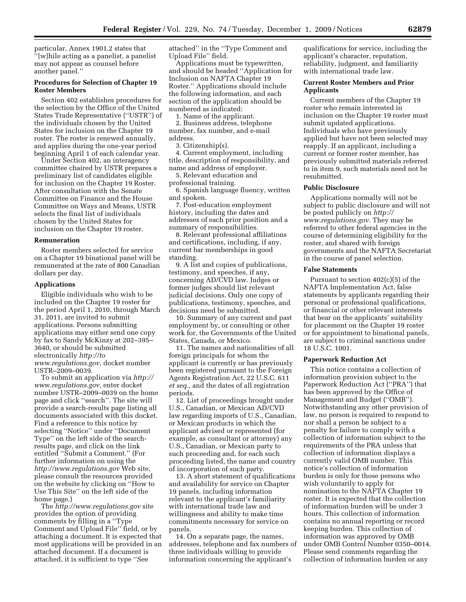particular, Annex 1901.2 states that ''[w]hile acting as a panelist, a panelist may not appear as counsel before another panel.''

## **Procedures for Selection of Chapter 19 Roster Members**

Section 402 establishes procedures for the selection by the Office of the United States Trade Representative (''USTR'') of the individuals chosen by the United States for inclusion on the Chapter 19 roster. The roster is renewed annually, and applies during the one-year period beginning April 1 of each calendar year.

Under Section 402, an interagency committee chaired by USTR prepares a preliminary list of candidates eligible for inclusion on the Chapter 19 Roster. After consultation with the Senate Committee on Finance and the House Committee on Ways and Means, USTR selects the final list of individuals chosen by the United States for inclusion on the Chapter 19 roster.

### **Remuneration**

Roster members selected for service on a Chapter 19 binational panel will be remunerated at the rate of 800 Canadian dollars per day.

## **Applications**

Eligible individuals who wish to be included on the Chapter 19 roster for the period April 1, 2010, through March 31, 2011, are invited to submit applications. Persons submitting applications may either send one copy by fax to Sandy McKinzy at 202–395– 3640, or should be submitted electronically *http://to www.regulations.gov,* docket number USTR–2009–0039.

To submit an application via *http:// www.regulations.gov,* enter docket number USTR–2009–0039 on the home page and click ''search''. The site will provide a search-results page listing all documents associated with this docket. Find a reference to this notice by selecting ''Notice'' under ''Document Type'' on the left side of the searchresults page, and click on the link entitled ''Submit a Comment.'' (For further information on using the *http://www.regulations.gov* Web site, please consult the resources provided on the website by clicking on ''How to Use This Site'' on the left side of the home page.)

The *http://www.regulations.gov* site provides the option of providing comments by filling in a ''Type Comment and Upload File'' field, or by attaching a document. It is expected that most applications will be provided in an attached document. If a document is attached, it is sufficient to type ''See

attached'' in the ''Type Comment and Upload File'' field.

Applications must be typewritten, and should be headed ''Application for Inclusion on NAFTA Chapter 19 Roster.'' Applications should include the following information, and each section of the application should be numbered as indicated:

1. Name of the applicant.

2. Business address, telephone number, fax number, and e-mail address.

3. Citizenship(s).

4. Current employment, including title, description of responsibility, and name and address of employer.

5. Relevant education and professional training.

6. Spanish language fluency, written and spoken.

7. Post-education employment history, including the dates and addresses of each prior position and a summary of responsibilities.

8. Relevant professional affiliations and certifications, including, if any, current bar memberships in good standing.

9. A list and copies of publications, testimony, and speeches, if any, concerning AD/CVD law. Judges or former judges should list relevant judicial decisions. Only one copy of publications, testimony, speeches, and decisions need be submitted.

10. Summary of any current and past employment by, or consulting or other work for, the Governments of the United States, Canada, or Mexico.

11. The names and nationalities of all foreign principals for whom the applicant is currently or has previously been registered pursuant to the Foreign Agents Registration Act, 22 U.S.C. 611 *et seq.,* and the dates of all registration periods.

12. List of proceedings brought under U.S., Canadian, or Mexican AD/CVD law regarding imports of U.S., Canadian, or Mexican products in which the applicant advised or represented (for example, as consultant or attorney) any U.S., Canadian, or Mexican party to such proceeding and, for each such proceeding listed, the name and country of incorporation of such party.

13. A short statement of qualifications and availability for service on Chapter 19 panels, including information relevant to the applicant's familiarity with international trade law and willingness and ability to make time commitments necessary for service on panels.

14. On a separate page, the names, addresses, telephone and fax numbers of three individuals willing to provide information concerning the applicant's

qualifications for service, including the applicant's character, reputation, reliability, judgment, and familiarity with international trade law.

# **Current Roster Members and Prior Applicants**

Current members of the Chapter 19 roster who remain interested in inclusion on the Chapter 19 roster must submit updated applications. Individuals who have previously applied but have not been selected may reapply. If an applicant, including a current or former roster member, has previously submitted materials referred to in item 9, such materials need not be resubmitted.

### **Public Disclosure**

Applications normally will not be subject to public disclosure and will not be posted publicly on *http:// www.regulations.gov.* They may be referred to other federal agencies in the course of determining eligibility for the roster, and shared with foreign governments and the NAFTA Secretariat in the course of panel selection.

### **False Statements**

Pursuant to section 402(c)(5) of the NAFTA Implementation Act, false statements by applicants regarding their personal or professional qualifications, or financial or other relevant interests that bear on the applicants' suitability for placement on the Chapter 19 roster or for appointment to binational panels, are subject to criminal sanctions under 18 U.S.C. 1001.

## **Paperwork Reduction Act**

This notice contains a collection of information provision subject to the Paperwork Reduction Act (''PRA'') that has been approved by the Office of Management and Budget (''OMB''). Notwithstanding any other provision of law, no person is required to respond to nor shall a person be subject to a penalty for failure to comply with a collection of information subject to the requirements of the PRA unless that collection of information displays a currently valid OMB number. This notice's collection of information burden is only for those persons who wish voluntarily to apply for nomination to the NAFTA Chapter 19 roster. It is expected that the collection of information burden will be under 3 hours. This collection of information contains no annual reporting or record keeping burden. This collection of information was approved by OMB under OMB Control Number 0350–0014. Please send comments regarding the collection of information burden or any